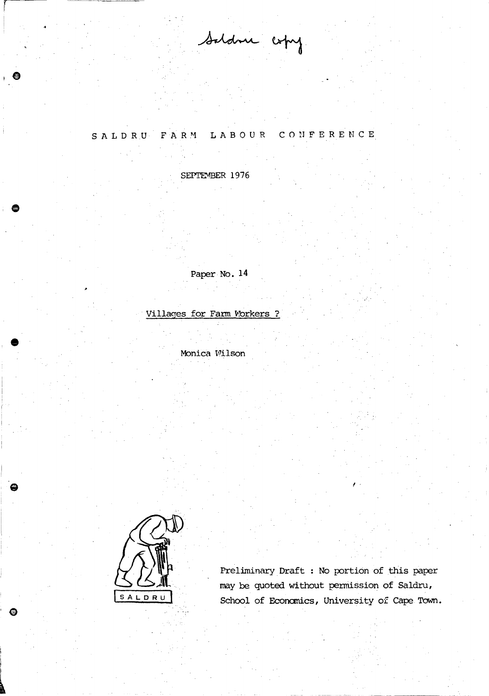Saldne copy

## LABOUR CONFERENCE SALDRU FARM

SEPTEMBER 1976

Paper No. 14

Villages for Farm Workers ?

Monica Wilson



 $\bullet$ 

Preliminary Draft : No portion of this paper may be quoted without permission of Saldru, School of Economics, University of Cape Town.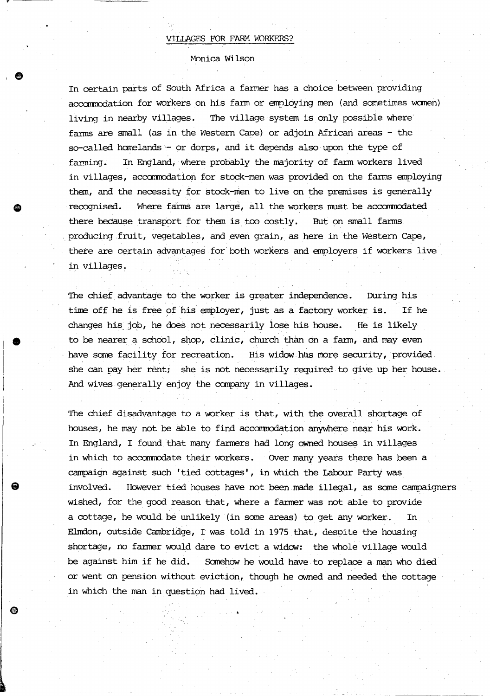Monica Wilson

,.

•

⊛

In certain parts of South Africa a farmer has a choice between providing accommodation for workers on his farm or employing men (and sometimes women) living in nearby villages. The village system is only possibie where farms are small (as in the Western Cape) or adjoin African areas  $-$  the so-called homelands - or dorps, and it depends also upon the type of fanning. In England, where probably the majority of farm workers lived in villages, accommodation for stock-Men was provided on the farms employing them, and the necessity for stock-men to live on the premises is generally recognised. Where farms are large, all the workers must be accommodated there because transport for them is too costly. But on small farms. producing fruit, vegetables, and even grain, as here in the Western Cape, there are certain advantages for both workers and employers if workers live in villages.

The chief advantage to the worker is greater independence. During his time off he is free of his employer, just as a factory worker is. If he changes his. job, he does not necessarily lose his house. He is likely to be nearer a school, shop, clinic, church than on a farm, and may even have some facility for recreation. His widow has more security, provided she can pay her rent; she is not necessarily required to give up her house. And wives generally enjoy the company in villages.

The chief disadvantage to a worker is that, with the overall shortage of houses, he may not be able to find accornrodation anywhere near his work. In England, I found that many farmers had long owned houses in villages in which to accommodate their workers. OVer many years there has been a campaign against such 'tied cottages', in which the Labour Party was involved. However tied houses have not been made illegal, as scme campaigners wished, for the good reason that, where a fanner was not able to provide a cottage, he would be unlikely (in scme areas) to get any worker. In Elmdon, outside cambridge, T was told in 1975 that, despite the housing shortage, no farmer would dare to evict a widow: the whole village would be against him if he did. Somehow he would have to replace a man who died or went on pension without eviction, though he owned and needed the cottage in which the man in question had lived.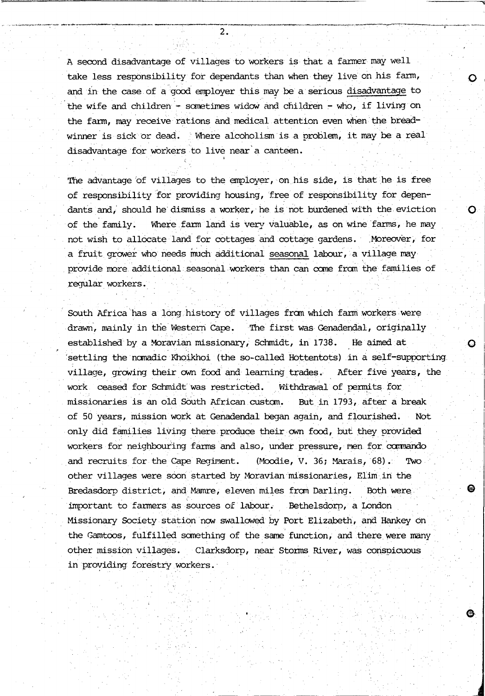A second disadvantage of villages to workers is that a farmer may well take less responsibility for dependants than when they live on his farm, and in the case of a good employer this may be a serious disadvantage to the wife and children  $-$  sometimes widow and children  $-$  who, if living on the farm, may receive rations and medical attention even when the breadwinner is sick or dead. Where alcoholism is a problem, it may be a real disadvantage for workers to live near a canteen.

 $\overline{Q}$ 

❸.

The advantage of villages to the employer, on his side, is that he is free of responsibility for providing housing, free of responsibility for dependants and, should he dismiss a worker, he is not burdened with the eviction  $\bullet$ of the family. Where farm land is very valuable, as on wine farms, he may not wish to allocate land for cottages and cottage gardens. Moreover, for a fruit grower who needs much additional seasonal labour, a village may provide more additional seasonal workers than can come from the families of regular workers.

South Africa has a long history of villages from which farm workers were . drawn, mainly in the Western Cape. The first was Genadendal, originally established by a Moravian missionary, Schmidt, in 1738. He aimed at **0** 'settling the nanadic Khoikhoi (the so-called Hottentots) in a self-supporting village, growing their own food and learning trades. After five years, the work ceased for Schmidt was restricted. Withdrawal of permits for missionaries is an old South African custan. Butin 1793, after a break of 50 years, mission work at Genadendal began again, and flourished. Not only did families living there produce their own food, but they provided workers for neighbouring farms and also, under pressure, men for commando and recruits for the Cape Regiment. (Moodie, V. 36; Marais, 68). Two other villages were soon started by Moravian missionaries, Elim in the Bredasdorp district, and Mamre, eleven miles fran Darling. Both were, important to fanners as sources of labour. Bethelsdorp, a London Missionary Society station now swallowed by Port Elizabeth, and Hankey on the Gamtoos, fulfilled scmething of the same function, and there were many other mission villages. Clarksdorp, near Storms River, was conspicuous in providing forestry workers.

2.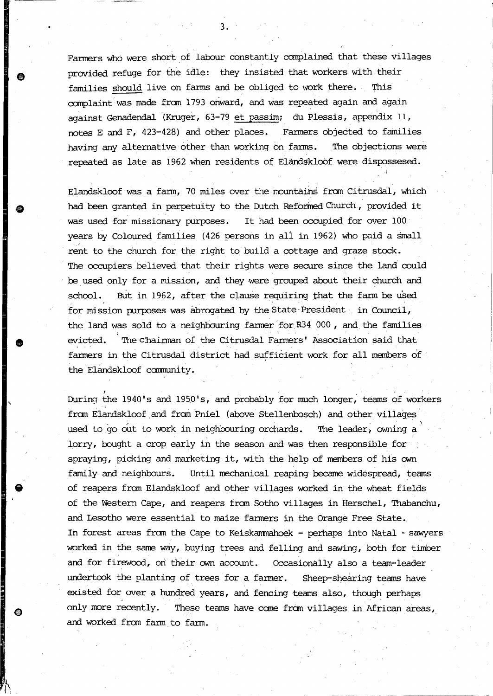Farmers who were short of labour constantly complained that these villages provided refuge for the idle: they insisted that workers with their families should live on fanus and be obliged to work there. This complaint was made fran 1793 ohward, and was repeated again and again against Genadendal (Kruger, 63-79 et passim; du Plessis, appendix 11, notes E and F, 423-428) and other places. Farmers objected to families having any alternative other than working on farms. The objections were repeated as late as 1962 when residents of Elandgklobf were dispossesed .

 $\cdot \cdot \cdot$ 

Elandskloof was a farm, 70 miles over the mountains from Citrusdal, which had been granted in perpetuity to the Dutch Reforined Church, provided it was used for missionary purposes. It had been occupied for over 100 years by Coloured families (426 persons in ali in 1962) who paid a Small rent to the church for the right to build a cottage and graze stock . The occupiers believed that their rights were secure since the land could be used only for a mission, and they were grouped about their church and school. But in 1962, after the clause requiring that the farm be used for mission purposes was abrogated by the State President . in Council, the land was sold to a neighbouring farmer for  $R34000$ , and the families evicted. The chainnan of the Citrusdal Farmers' Association said that fanners in the Citrusdal district had sufficient work for all manbers of . the Elandskloof community.

During the 1940's and 1950's, and probably for much longer, teams of workers from Elandskloof and from Pniel (above Stellenbosch) and other villages used to 'go out to work in neighbouring orchards. The leader, owning a lorry, bought a crop early in the season and was then responsible for spraying, picking and marketing it, with the help of members of his own family and neighbours. Until mechanical reaping became widespread, teams of reapers fran Elandskloof and other villages worked in the wheat fields of the Western Cape, and reapers from Sotho villages in Herschel, Thabanchu, and Lesotho were essential to maize fanners in the Orange Free State. In forest areas from the Cape to Keiskammahoek - perhaps into Natal - sawyers worked in the same way, buying trees and felling and sawing, both for timber and for firewood, on their own account. Occasionally also a team-leader undertook the planting of trees for a farmer. Sheep-shearing teams have existed for over a hundred years, and fencing teams also, though perhaps only more recently. These teams have come from villages in African areas, and worked fran fann to fann.

**e** 

•

**e**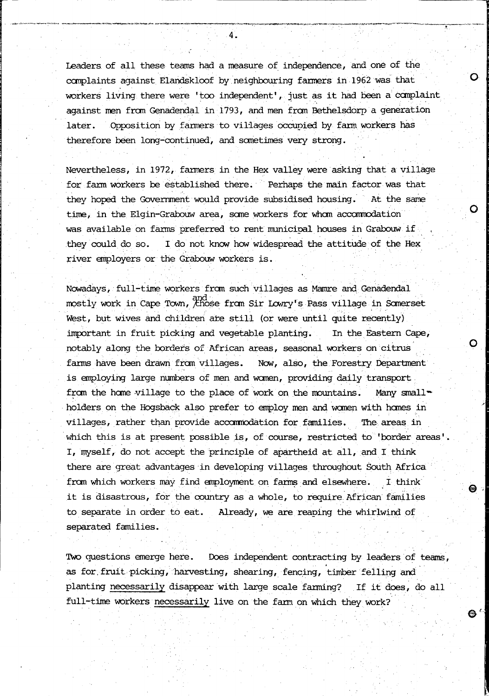Leaders of all these teams had a measure of independence, and one of the canplaints against Elandskloof by neighbouring farmers in 1962 was that workers living there were 'too independent', just as it had been a complaint against men fran Genadendal in 1793, and men frcm Bethelsdorp a generation later. Opposition by fanners to villages occupied by fann workers has therefore been long-continued, and sometimes very strong.

o

o

o

 $\mathbf{\Theta}$ 

 $\bullet$   $\cdot$ 

Nevertheless, in 1972, fanners in the Hex valley were asking that a village for farm workers be established there. Perhaps the main factor was that they hoped the Government would provide subsidised housing. At the same time, in the Elgin-Grabouw area, some workers for whom accommodation was available on farms· preferred to rent rmmicipal houses in Grabouw if they could do so. I do not know how widespread the attitude of the Hex river employers or the Grabouw workers is.

Nowadays, full-time workers from such villages as Mamre and Genadendal mostly work in Cape Town, chose from Sir Lowry's Pass village in Somerset West, but wives and children are still (or were until quite recently) important in fruit picking and vegetable planting. In the Eastern Cape, notably along the borders of African areas, seasonal workers on citrus farms have been drawn from villages. Now, also, the Forestry Department is employing large numbers of men and women, providing daily transport. from the home village to the place of work on the mountains. Many small-Nowadays, full-time workers from such villages as Mamre and Genadendal<br>mostly work in Cape Town, <sup>201</sup>nose from Sir Lowry's Pass village in Somerset<br>West, but wives and children are still (or were until quite recently)<br>imp villages, rather than provide accommodation for families. The areas in which this is at present possible is, of course, restricted to 'border areas' I, myself, do not accept the principle of apartheid at all, and I think there are great advantages in developing villages throughout South Africa from which workers may find employment on farms and elsewhere. I think it is disastrous, for the country as a whole, to require African families to separate in order to eat. Already, we are reaping the whirlwind of separated families.

Two questions emerge here. Does independent contracting by leaders of teams, as for. fruit picking, harvesting, shearing, fencing, timber felling and planting necessarily disappear with large scale farming? If it does, do all full-time workers necessarily live on the farm on which they work?

4.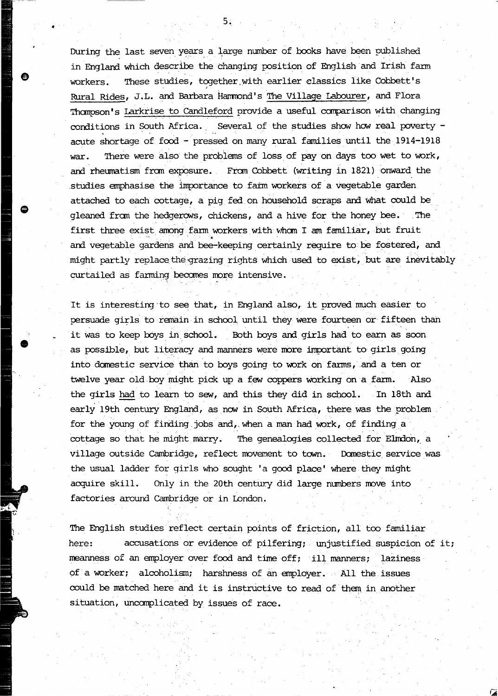During the last seven years a large number of books have been published in England which describe the changing position of English and Irish farm workers. These studies, together with earlier classics like Cobbett's Rural Rides, J.L. and Barbara Hammond's The Village Labourer, and Flora Thompson's Larkrise to Candleford provide a useful comparison with changing conditions in South Africa. Several of the studies show how real poverty  $$ acute shortage of food - pressed on many rural families until the 1914-1918 war. There were also the problems of loss of pay on days too wet to work, and rheumatism from exposure. From Cobbett (writing in 1821) onward the ,studies emphasise the importance to fatm workers of a vegetable garden attached to each cottage, a pig fed on household scraps and what could be gleaned from the hedgerows, chickens, and a hive for the honey bee. The first three exist among farm workers with whom I am familiar, but fruit and vegetable gardens and bee-keeping certainly require to be fostered, and might partly replace the grazing rights which used to exist, but are inevitably curtailed as farming becomes more intensive. irst three exist among farm work<br>And vegetable gardens and bee-kee<br>ight partly replace the grazing r<br>urtailed as farming becomes more

It is interesting to see that, in England also, it proved much easier to persuade girls to remain in school until they were fourteen or fifteen than it was to keep boys in school. Both boys and girls had to earn as soon as possible, but literacy and manners were more important to girls going into domestic service than to boys going to work on farms, and a ten or twelve year old boy might pick up a few coppers working on a farm. Also the girls had to learn to sew, and this they did in school. In 18th and early 19th century England, as now in South Africa, there was the problem twelve year old boy might pick up a few coppers working on a farm.<br>
the girls had to learn to sew, and this they did in school. In 18th<br>
early 19th century England, as now in South Africa, there was the prob<br>
for the young cottage so that he might marry. The genealogies collected for Elmdon, a village outside Cambridge, reflect movement to town. Domestic service was the usual ladder for girls who sought 'a good place' where they might acquire skill. Only in the 20th century did large numbers move into factories around Cambridge or in London.

The English studies reflect certain points of friction, all too familiar here: accusations or evidence of pilfering; unjustified suspicion of it; meanness of an employer over food and time off; ill manners; laziness of a worker; alcoholism; harshness of an employer. All the issues could be matched here and it is instructive to read of them in another situation, uncomplicated by issues of race.

 $\bullet$  5% and  $\bullet$  5% and  $\bullet$  5% and  $\bullet$  5% and  $\bullet$  5% and  $\bullet$  5% and  $\bullet$  5% and  $\bullet$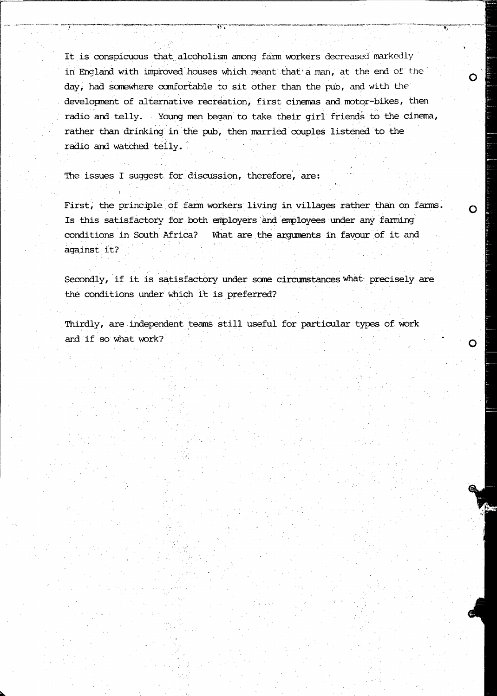It is conspicuous that alcoholism among farm workers decreased markedly in England with improved houses which meant that a man, at the end of the day, had somewhere comfortable to sit other than the pub, and with the development of alternative recreation, first cinemas and motor-bikes, then radio and telly. Young men began to take their girl friends to the cinema, rather than drinking in the pub, then married couples listened to the radio and watched telly.

O

 $\Omega$ 

O

The issues I suggest for discussion, therefore, are:

First, the principle of farm workers living in villages rather than on farms. Is this satisfactory for both employers and employees under any farming conditions in South Africa? What are the arguments in favour of it and against it?

Secondly, if it is satisfactory under some circumstances what precisely are the conditions under which it is preferred?

Thirdly, are independent teams still useful for particular types of work and if so what work?